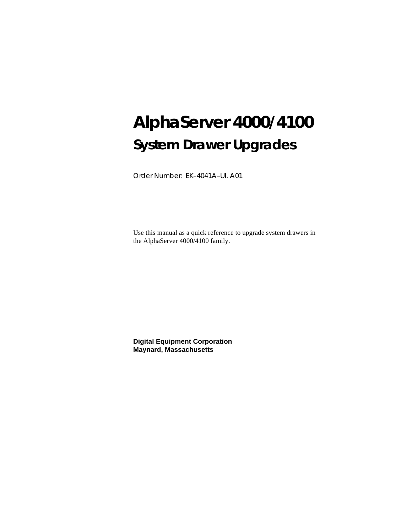# **AlphaServer 4000/4100 System Drawer Upgrades**

Order Number: EK–4041A–UI. A01

Use this manual as a quick reference to upgrade system drawers in the AlphaServer 4000/4100 family.

**Digital Equipment Corporation Maynard, Massachusetts**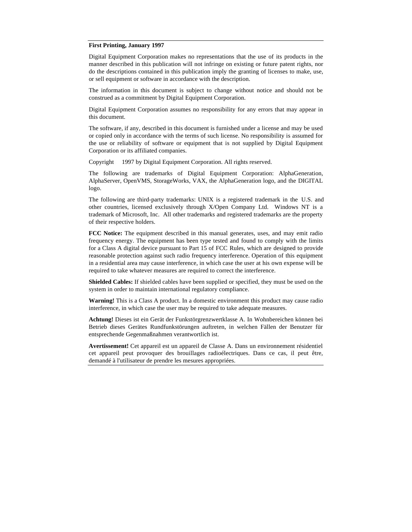#### **First Printing, January 1997**

Digital Equipment Corporation makes no representations that the use of its products in the manner described in this publication will not infringe on existing or future patent rights, nor do the descriptions contained in this publication imply the granting of licenses to make, use, or sell equipment or software in accordance with the description.

The information in this document is subject to change without notice and should not be construed as a commitment by Digital Equipment Corporation.

Digital Equipment Corporation assumes no responsibility for any errors that may appear in this document.

The software, if any, described in this document is furnished under a license and may be used or copied only in accordance with the terms of such license. No responsibility is assumed for the use or reliability of software or equipment that is not supplied by Digital Equipment Corporation or its affiliated companies.

Copyright © 1997 by Digital Equipment Corporation. All rights reserved.

The following are trademarks of Digital Equipment Corporation: AlphaGeneration, AlphaServer, OpenVMS, StorageWorks, VAX, the AlphaGeneration logo, and the DIGITAL logo.

The following are third-party trademarks: UNIX is a registered trademark in the U.S. and other countries, licensed exclusively through X/Open Company Ltd. Windows NT is a trademark of Microsoft, Inc. All other trademarks and registered trademarks are the property of their respective holders.

**FCC Notice:** The equipment described in this manual generates, uses, and may emit radio frequency energy. The equipment has been type tested and found to comply with the limits for a Class A digital device pursuant to Part 15 of FCC Rules, which are designed to provide reasonable protection against such radio frequency interference. Operation of this equipment in a residential area may cause interference, in which case the user at his own expense will be required to take whatever measures are required to correct the interference.

**Shielded Cables:** If shielded cables have been supplied or specified, they must be used on the system in order to maintain international regulatory compliance.

**Warning!** This is a Class A product. In a domestic environment this product may cause radio interference, in which case the user may be required to take adequate measures.

**Achtung!** Dieses ist ein Gerät der Funkstörgrenzwertklasse A. In Wohnbereichen können bei Betrieb dieses Gerätes Rundfunkstörungen auftreten, in welchen Fällen der Benutzer für entsprechende Gegenmaßnahmen verantwortlich ist.

**Avertissement!** Cet appareil est un appareil de Classe A. Dans un environnement résidentiel cet appareil peut provoquer des brouillages radioélectriques. Dans ce cas, il peut être, demandé à l'utilisateur de prendre les mesures appropriées.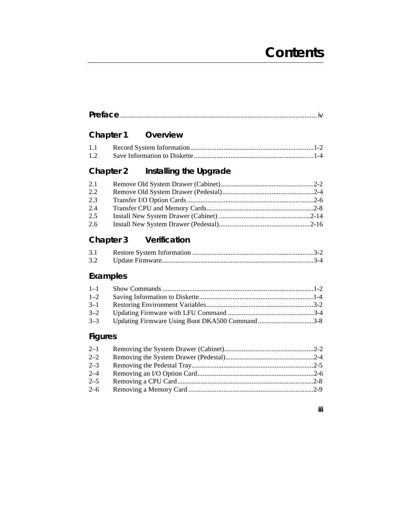# **Contents**

**iii**

|--|

# **Chapter 1 Overview**

| 1.1 |  |  |
|-----|--|--|
|     |  |  |

# **Chapter 2 Installing the Upgrade**

| 2.1 |  |
|-----|--|
| 2.2 |  |
| 2.3 |  |
| 2.4 |  |
| 2.5 |  |
| 2.6 |  |
|     |  |

# **Chapter 3 Verification**

| 3.1 |  |
|-----|--|
| 3.2 |  |

# **Examples**

| $1-1$   |  |
|---------|--|
| $1 - 2$ |  |
| $3 - 1$ |  |
| $3 - 2$ |  |
| $3 - 3$ |  |

# **Figures**

| $2 - 1$ |  |
|---------|--|
| $2 - 2$ |  |
| $2 - 3$ |  |
| $2 - 4$ |  |
| $2 - 5$ |  |
| $2 - 6$ |  |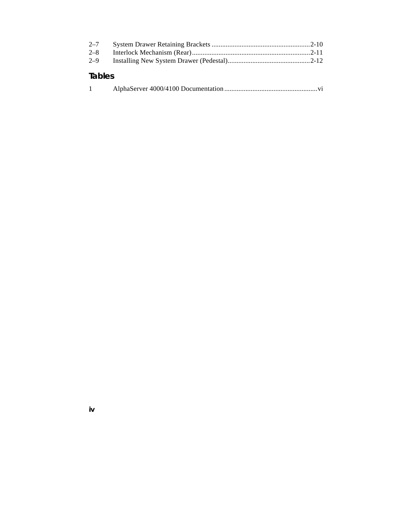| $2 - 7$       |  |
|---------------|--|
| $2 - 8$       |  |
| $2 - 9$       |  |
| <b>Tables</b> |  |

**iv**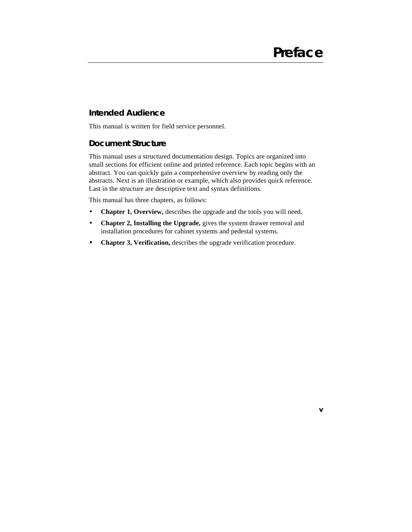#### **Intended Audience**

This manual is written for field service personnel.

#### **Document Structure**

This manual uses a structured documentation design. Topics are organized into small sections for efficient online and printed reference. Each topic begins with an abstract. You can quickly gain a comprehensive overview by reading only the abstracts. Next is an illustration or example, which also provides quick reference. Last in the structure are descriptive text and syntax definitions.

This manual has three chapters, as follows:

- **Chapter 1, Overview,** describes the upgrade and the tools you will need.
- **Chapter 2, Installing the Upgrade,** gives the system drawer removal and installation procedures for cabinet systems and pedestal systems.
- **Chapter 3, Verification,** describes the upgrade verification procedure.

**v**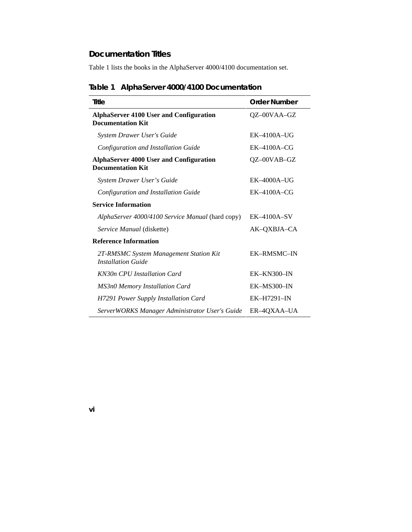### **Documentation Titles**

Table 1 lists the books in the AlphaServer 4000/4100 documentation set.

| Title                                                                      | <b>Order Number</b> |
|----------------------------------------------------------------------------|---------------------|
| <b>AlphaServer 4100 User and Configuration</b><br><b>Documentation Kit</b> | QZ-00VAA-GZ         |
| <b>System Drawer User's Guide</b>                                          | $EK-4100A-UG$       |
| Configuration and Installation Guide                                       | $EK-4100A-CG$       |
| <b>AlphaServer 4000 User and Configuration</b><br><b>Documentation Kit</b> | QZ-00VAB-GZ         |
| System Drawer User's Guide                                                 | $EK-4000A-UG$       |
| Configuration and Installation Guide                                       | $EK-4100A-CG$       |
| <b>Service Information</b>                                                 |                     |
| AlphaServer 4000/4100 Service Manual (hard copy)                           | $EK-4100A-SV$       |
| Service Manual (diskette)                                                  | AK-OXBJA-CA         |
| <b>Reference Information</b>                                               |                     |
| 2T-RMSMC System Management Station Kit<br><b>Installation Guide</b>        | EK-RMSMC-IN         |
| KN30n CPU Installation Card                                                | $EK-KN300-N$        |
| <b>MS3n0 Memory Installation Card</b>                                      | $EK-MS300-N$        |
| H7291 Power Supply Installation Card                                       | <b>EK-H7291-IN</b>  |
| ServerWORKS Manager Administrator User's Guide                             | ER-4QXAA-UA         |

# **Table 1 AlphaServer 4000/4100 Documentation**

**vi**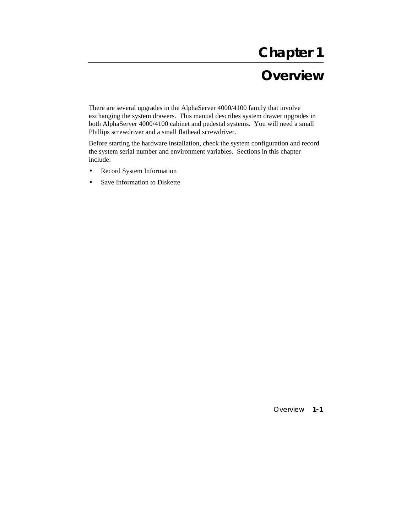# **Chapter 1**

# **Overview**

There are several upgrades in the AlphaServer 4000/4100 family that involve exchanging the system drawers. This manual describes system drawer upgrades in both AlphaServer 4000/4100 cabinet and pedestal systems. You will need a small Phillips screwdriver and a small flathead screwdriver.

Before starting the hardware installation, check the system configuration and record the system serial number and environment variables. Sections in this chapter include:

- Record System Information
- Save Information to Diskette

Overview **1-1**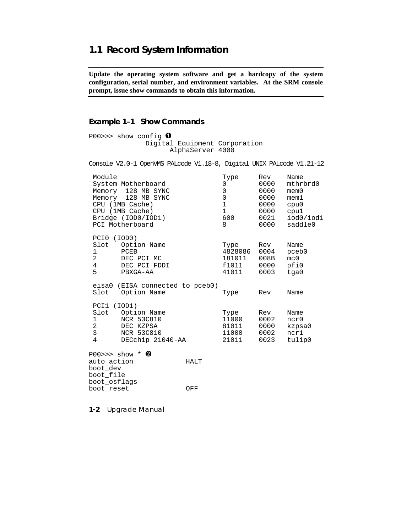### **1.1 Record System Information**

**Update the operating system software and get a hardcopy of the system configuration, serial number, and environment variables. At the SRM console prompt, issue show commands to obtain this information.**

#### **Example 1–1 Show Commands**

P00>>> show config  $\bullet$  Digital Equipment Corporation AlphaServer 4000

Console V2.0-1 OpenVMS PALcode V1.18-8, Digital UNIX PALcode V1.21-12 Module Type Rev Name<br>System Motherboard 10000 mthrbrd0 System Motherboard Memory 128 MB SYNC 0 0000 mem0 Memory 128 MB SYNC 0 0000 mem1 CPU (1MB Cache) 1 0000 cpu0<br>
CPU (1MB Cache) 1 0000 cpu0<br>
Bridge (IOD0/IOD1) 600 0021 iod0 CPU (1MB Cache) 1 0000 cpu1<br>Bridge (IOD0/IOD1) 600 0021 iod0/iod1 Bridge (IOD0/IOD1) 600 0021 iod0/iod1 PCI Motherboard PCI0 (IOD0) Slot Option Name Type Rev Name 1 PCEB 28086 0004 pceb 1 PCEB 4828086 0004 pceb0<br>2 DEC PCI MC 181011 008B mc0 DEC PCI MC  $181011$  008B mc0<br>DEC PCI FDDI f1011 0000 pfi0 4 DEC PCI FDDI 61011 0000 pfi0<br>5 PBXGA-AA 41011 0003 tga0

 eisa0 (EISA connected to pceb0) Slot Option Name Type Rev Name PCI1 (IOD1) Slot Option Name Type Rev Name<br>1 NCR 53C810 11000 0002 ncr0 NCR 53C810 11000 0002<br>
DEC KZPSA 81011 0000<br>
NCR 53C810 11000 0002 2 DEC KZPSA 81011 0000 kzpsa0 NCR 53C810 11000 0002<br>DECchip 21040-AA 21011 0023 4 DECchip 21040-AA 21011 0023 tulip0

P00>>> show  $*$  <sup> $\odot$ </sup> auto\_action HALT boot\_dev boot\_file boot\_osflags boot\_reset OFF

PBXGA-AA

**1-2** Upgrade Manual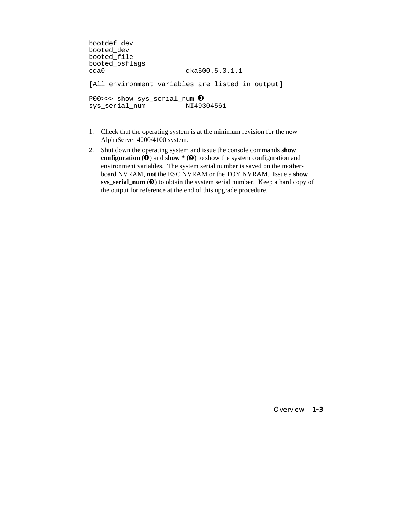```
bootdef_dev 
booted_dev 
booted_file 
booted_osflags 
                             dka500.5.0.1.1
[All environment variables are listed in output]
PO0>>> show sys_serial_num \bigcirc<br>sys serial num NI49304561sys_serial_num
```
- 1. Check that the operating system is at the minimum revision for the new AlphaServer 4000/4100 system.
- 2. Shut down the operating system and issue the console commands **show configuration (** $\bullet$ **) and show**  $*$  **(** $\bullet$ **)** to show the system configuration and environment variables. The system serial number is saved on the motherboard NVRAM, **not** the ESC NVRAM or the TOY NVRAM. Issue a **show sys** serial num  $(\mathbf{\Theta})$  to obtain the system serial number. Keep a hard copy of the output for reference at the end of this upgrade procedure.

Overview **1-3**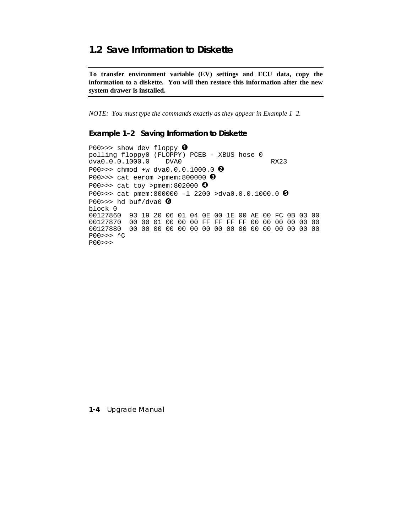## 1.2 Save Information to Diskette

To transfer environment variable (EV) settings and ECU data, copy the information to a diskette. You will then restore this information after the new system drawer is installed.

NOTE: You must type the commands exactly as they appear in Example  $1-2$ .

#### Example 1-2 Saving Information to Diskette

P00>>> show dev floppy  $\mathbf 0$ polling floppy0 (FLOPPY) PCEB - XBUS hose 0 dva0.0.0.1000.0 DVA0 **RX23** P00>>> chmod +w dva0.0.0.1000.0  $\bullet$ P00>>> cat eerom >pmem:800000  $\bullet$ P00>>> cat toy >pmem:802000  $\bullet$ P00>>> cat pmem:800000 -1 2200 >dva0.0.0.1000.0  $\Theta$ P00>>> hd buf/dva0  $\bullet$ block 0 00127860 93 19 20 06 01 04 0E 00 1E 00 AE 00 FC 0B 03 00 00127870 00 00 01 00 00 00 FF FF FF FF 00 00 00 00 00 00  $PO0>>$  ^C  $PO0>>$ 

1-4 Upgrade Manual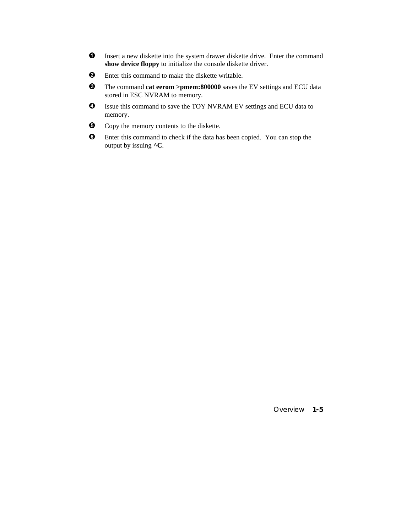- $\bf{0}$ Insert a new diskette into the system drawer diskette drive. Enter the command show device floppy to initialize the console diskette driver.
- $\boldsymbol{\Theta}$ Enter this command to make the diskette writable.
- $\bullet$ The command cat eerom >pmem:800000 saves the EV settings and ECU data stored in ESC NVRAM to memory.
- ❹ Issue this command to save the TOY NVRAM EV settings and ECU data to memory.
- $\boldsymbol{\Theta}$ Copy the memory contents to the diskette.
- $\odot$ Enter this command to check if the data has been copied. You can stop the output by issuing ^C.

Overview 1-5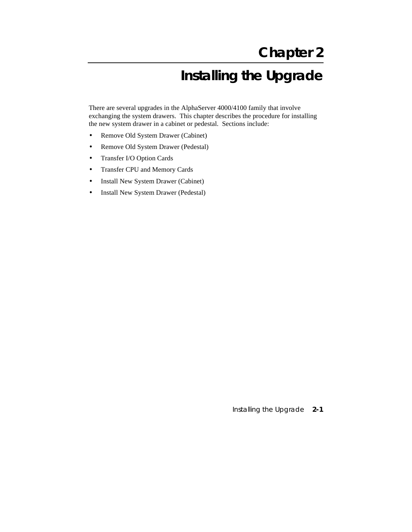# **Installing the Upgrade**

There are several upgrades in the AlphaServer 4000/4100 family that involve exchanging the system drawers. This chapter describes the procedure for installing the new system drawer in a cabinet or pedestal. Sections include:

- Remove Old System Drawer (Cabinet)
- Remove Old System Drawer (Pedestal)
- Transfer I/O Option Cards
- Transfer CPU and Memory Cards
- Install New System Drawer (Cabinet)
- Install New System Drawer (Pedestal)

Installing the Upgrade **2-1**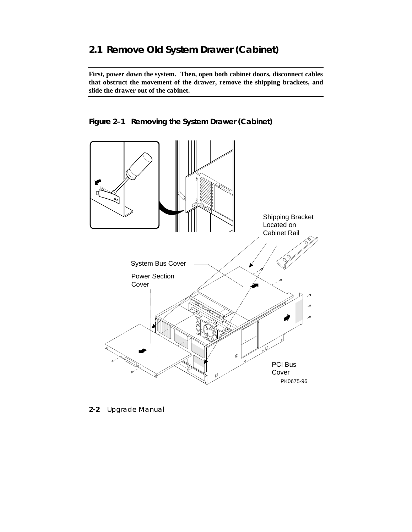# **2.1 Remove Old System Drawer (Cabinet)**

**First, power down the system. Then, open both cabinet doors, disconnect cables that obstruct the movement of the drawer, remove the shipping brackets, and slide the drawer out of the cabinet.**





**2-2** Upgrade Manual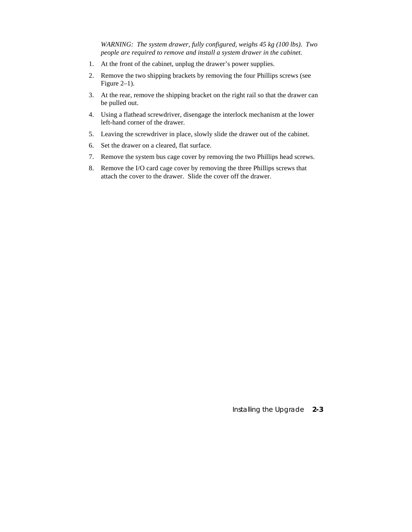*WARNING: The system drawer, fully configured, weighs 45 kg (100 lbs). Two people are required to remove and install a system drawer in the cabinet.*

- 1. At the front of the cabinet, unplug the drawer's power supplies.
- 2. Remove the two shipping brackets by removing the four Phillips screws (see Figure 2–1).
- 3. At the rear, remove the shipping bracket on the right rail so that the drawer can be pulled out.
- 4. Using a flathead screwdriver, disengage the interlock mechanism at the lower left-hand corner of the drawer.
- 5. Leaving the screwdriver in place, slowly slide the drawer out of the cabinet.
- 6. Set the drawer on a cleared, flat surface.
- 7. Remove the system bus cage cover by removing the two Phillips head screws.
- 8. Remove the I/O card cage cover by removing the three Phillips screws that attach the cover to the drawer. Slide the cover off the drawer.

Installing the Upgrade **2-3**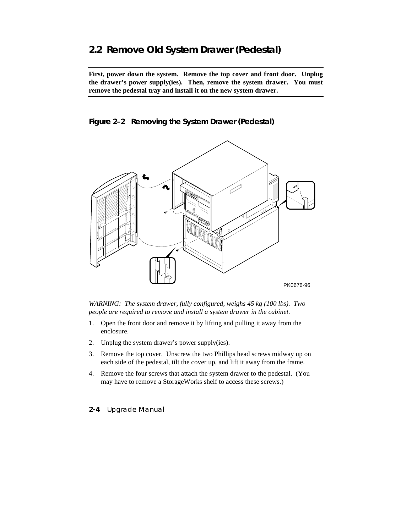# **2.2 Remove Old System Drawer (Pedestal)**

**First, power down the system. Remove the top cover and front door. Unplug the drawer's power supply(ies). Then, remove the system drawer. You must remove the pedestal tray and install it on the new system drawer.**

**Figure 2–2 Removing the System Drawer (Pedestal)**



*WARNING: The system drawer, fully configured, weighs 45 kg (100 lbs). Two people are required to remove and install a system drawer in the cabinet.*

- 1. Open the front door and remove it by lifting and pulling it away from the enclosure.
- 2. Unplug the system drawer's power supply(ies).
- 3. Remove the top cover. Unscrew the two Phillips head screws midway up on each side of the pedestal, tilt the cover up, and lift it away from the frame.
- 4. Remove the four screws that attach the system drawer to the pedestal. (You may have to remove a StorageWorks shelf to access these screws.)
- **2-4** Upgrade Manual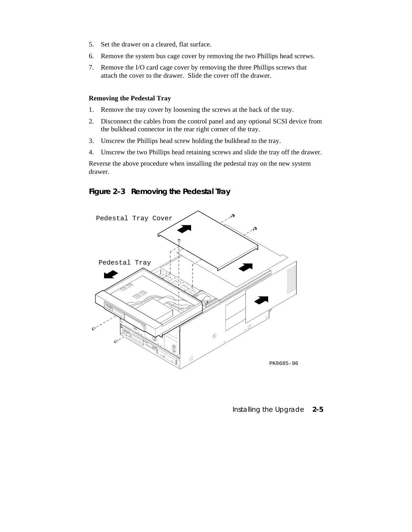- 5. Set the drawer on a cleared, flat surface.
- 6. Remove the system bus cage cover by removing the two Phillips head screws.
- 7. Remove the I/O card cage cover by removing the three Phillips screws that attach the cover to the drawer. Slide the cover off the drawer.

#### **Removing the Pedestal Tray**

- 1. Remove the tray cover by loosening the screws at the back of the tray.
- 2. Disconnect the cables from the control panel and any optional SCSI device from the bulkhead connector in the rear right corner of the tray.
- 3. Unscrew the Phillips head screw holding the bulkhead to the tray.
- 4. Unscrew the two Phillips head retaining screws and slide the tray off the drawer.

Reverse the above procedure when installing the pedestal tray on the new system drawer.

#### **Figure 2–3 Removing the Pedestal Tray**



#### Installing the Upgrade **2-5**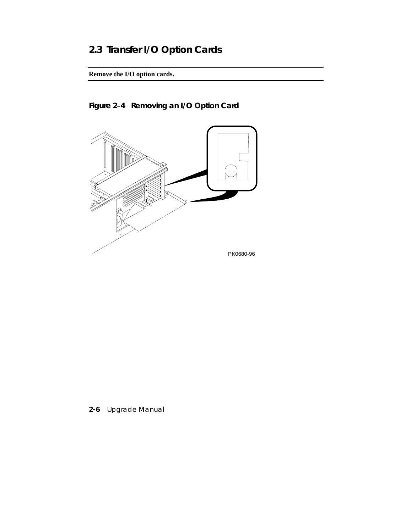# **2.3 Transfer I/O Option Cards**

**Remove the I/O option cards.**



**Figure 2–4 Removing an I/O Option Card**

**2-6** Upgrade Manual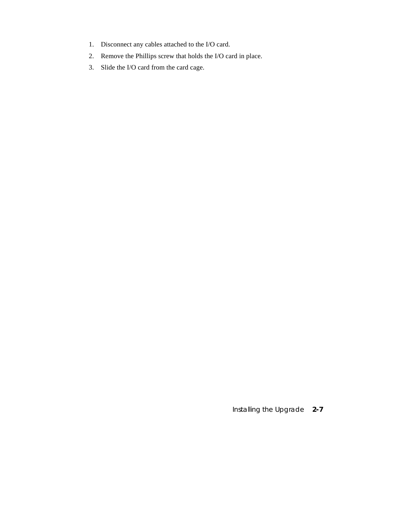- 1. Disconnect any cables attached to the I/O card.
- 2. Remove the Phillips screw that holds the I/O card in place.
- 3. Slide the I/O card from the card cage.

Installing the Upgrade **2-7**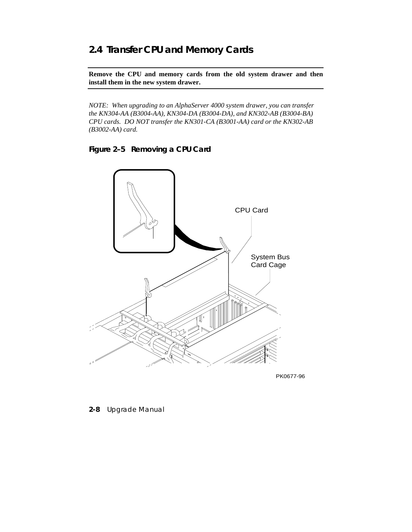# **2.4 Transfer CPU and Memory Cards**

**Remove the CPU and memory cards from the old system drawer and then install them in the new system drawer.**

*NOTE: When upgrading to an AlphaServer 4000 system drawer, you can transfer the KN304-AA (B3004-AA), KN304-DA (B3004-DA), and KN302-AB (B3004-BA) CPU cards. DO NOT transfer the KN301-CA (B3001-AA) card or the KN302-AB (B3002-AA) card.*

**Figure 2–5 Removing a CPU Card**



PK0677-96

**2-8** Upgrade Manual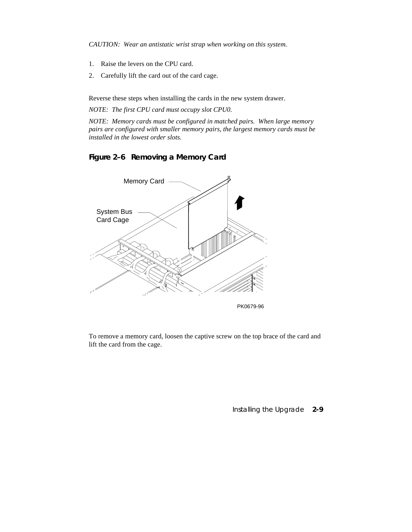*CAUTION: Wear an antistatic wrist strap when working on this system.*

- 1. Raise the levers on the CPU card.
- 2. Carefully lift the card out of the card cage.

Reverse these steps when installing the cards in the new system drawer.

*NOTE: The first CPU card must occupy slot CPU0.*

*NOTE: Memory cards must be configured in matched pairs. When large memory pairs are configured with smaller memory pairs, the largest memory cards must be installed in the lowest order slots.*

### **Figure 2–6 Removing a Memory Card**



To remove a memory card, loosen the captive screw on the top brace of the card and lift the card from the cage.

Installing the Upgrade **2-9**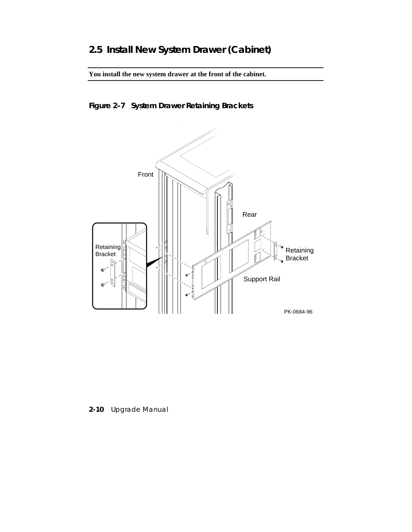**You install the new system drawer at the front of the cabinet.**

# **Figure 2–7 System Drawer Retaining Brackets**



**2-10** Upgrade Manual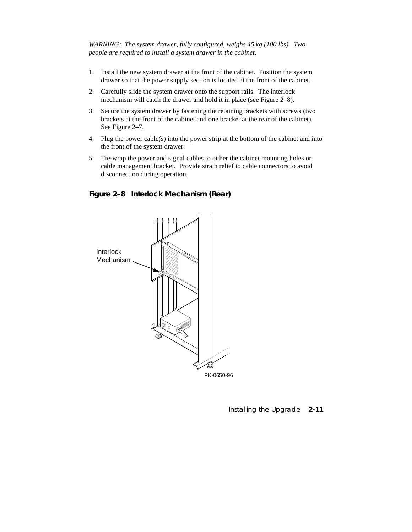*WARNING: The system drawer, fully configured, weighs 45 kg (100 lbs). Two people are required to install a system drawer in the cabinet.*

- 1. Install the new system drawer at the front of the cabinet. Position the system drawer so that the power supply section is located at the front of the cabinet.
- 2. Carefully slide the system drawer onto the support rails. The interlock mechanism will catch the drawer and hold it in place (see Figure 2–8).
- 3. Secure the system drawer by fastening the retaining brackets with screws (two brackets at the front of the cabinet and one bracket at the rear of the cabinet). See Figure 2–7.
- 4. Plug the power cable(s) into the power strip at the bottom of the cabinet and into the front of the system drawer.
- 5. Tie-wrap the power and signal cables to either the cabinet mounting holes or cable management bracket. Provide strain relief to cable connectors to avoid disconnection during operation.

#### **Figure 2–8 Interlock Mechanism (Rear)**



Installing the Upgrade **2-11**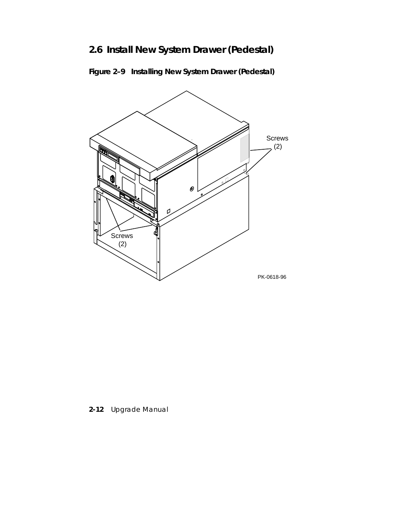# **2.6 Install New System Drawer (Pedestal)**





**2-12** Upgrade Manual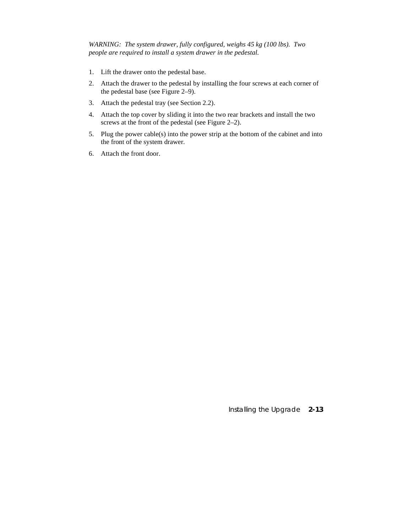*WARNING: The system drawer, fully configured, weighs 45 kg (100 lbs). Two people are required to install a system drawer in the pedestal.*

- 1. Lift the drawer onto the pedestal base.
- 2. Attach the drawer to the pedestal by installing the four screws at each corner of the pedestal base (see Figure 2–9).
- 3. Attach the pedestal tray (see Section 2.2).
- 4. Attach the top cover by sliding it into the two rear brackets and install the two screws at the front of the pedestal (see Figure 2–2).
- 5. Plug the power cable(s) into the power strip at the bottom of the cabinet and into the front of the system drawer.
- 6. Attach the front door.

Installing the Upgrade **2-13**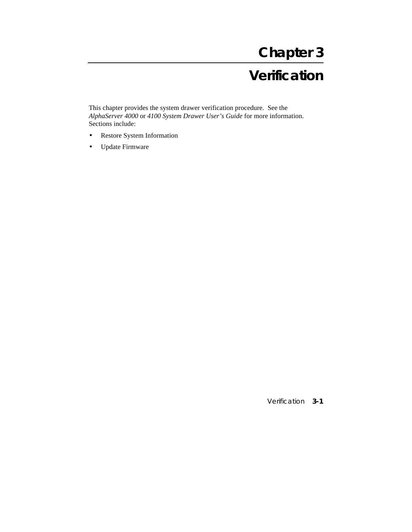# **Chapter 3**

# **Verification**

This chapter provides the system drawer verification procedure. See the *AlphaServer 4000* or *4100 System Drawer User's Guide* for more information. Sections include:

- Restore System Information
- Update Firmware

Verification **3-1**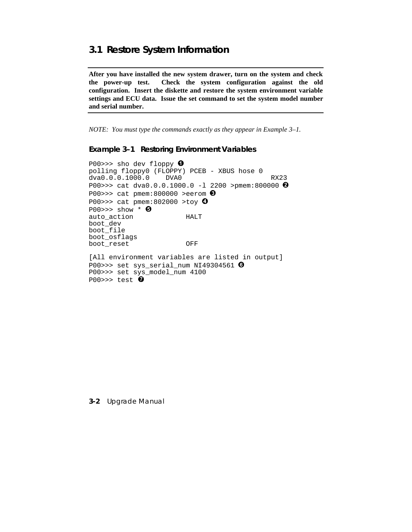### 3.1 Restore System Information

After you have installed the new system drawer, turn on the system and check the power-up test. Check the system configuration against the old configuration. Insert the diskette and restore the system environment variable settings and ECU data. Issue the set command to set the system model number and serial number.

NOTE: You must type the commands exactly as they appear in Example 3-1.

**Example 3-1 Restoring Environment Variables** 

P00>>> sho dev floppy  $\bullet$ polling floppy0 (FLOPPY) PCEB - XBUS hose 0 dva0.0.0.1000.0 DVA0 **RX23** P00>>> cat dva0.0.0.1000.0 -1 2200 >pmem:800000  $\Theta$ P00>>> cat pmem:800000 >eerom  $\bigcirc$ P00>>> cat pmem:802000 >toy  $\bullet$  $PO0>>$  show \*  $\Theta$ auto\_action **HALT** boot\_dev boot\_file boot osflags boot\_reset OFF [All environment variables are listed in output] P00>>> set sys\_serial\_num NI49304561  $\odot$ P00>>> set sys\_model\_num 4100 P00>>> test  $\bullet$ 

3-2 Upgrade Manual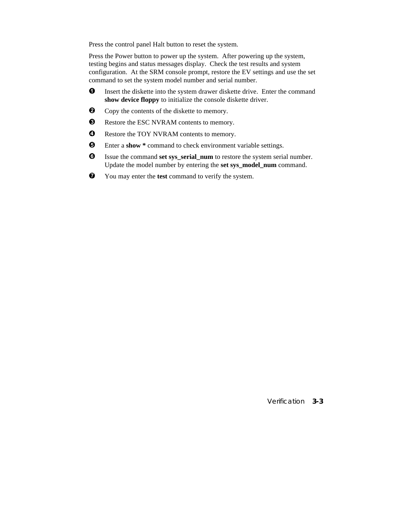Press the control panel Halt button to reset the system.

Press the Power button to power up the system. After powering up the system, testing begins and status messages display. Check the test results and system configuration. At the SRM console prompt, restore the EV settings and use the set command to set the system model number and serial number.

- $\bullet$  Insert the diskette into the system drawer diskette drive. Enter the command **show device floppy** to initialize the console diskette driver.
- $\bullet$  Copy the contents of the diskette to memory.
- $\bullet$  Restore the ESC NVRAM contents to memory.
- **O** Restore the TOY NVRAM contents to memory.
- Î Enter a **show \*** command to check environment variable settings.
- $\Theta$  Issue the command set sys\_serial\_num to restore the system serial number. Update the model number by entering the **set sys\_model\_num** command.
- Ð You may enter the **test** command to verify the system.

Verification **3-3**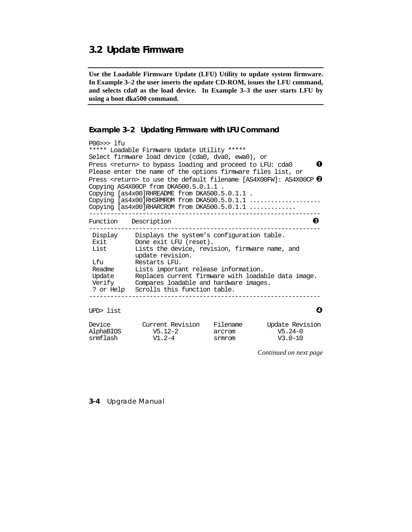### 3.2 Update Firmware

Use the Loadable Firmware Update (LFU) Utility to update system firmware. In Example 3–2 the user inserts the update CD-ROM, issues the LFU command, and selects cda0 as the load device. In Example 3-3 the user starts LFU by using a boot dka500 command.

#### Example 3-2 Updating Firmware with LFU Command

```
P00>>> lfu
***** Loadable Firmware Update Utility *****
Select firmware load device (cda0, dva0, ewa0), or
Press <return> to bypass loading and proceed to LFU: cda0
                                                                            0
Please enter the name of the options firmware files list, or
Press <return> to use the default filename [AS4X00FW]: AS4X00CP \bulletCopying AS4X00CP from DKA500.5.0.1.1
Copying [as4x00]RHREADME from DKA500.5.0.1.1.
Copying [as4x00]RHSRMROM from DKA500.5.0.1.1 ....................
Copying [as4x00]RHARCROM from DKA500.5.0.1.1 .............
                           -------------------------------------
                                                                          \boldsymbol{\Theta}Function Description
  ___________
                            Display Displays the system's configuration table.<br>Exit Done exit LFU (reset).<br>List Lists the device, revision, firmware name, and
             update revision.
Lfu Restarts LFU.<br>Readme Lists important release information.<br>Update Replaces current firmware with loadable data image.<br>Verify Compares loadable and hardware images.
 ? or Help Scrolls this function table.
                                                                            Ô
UPD> list
Device
                Current Revision Filename
                                                           Update Revision
```
 $V5.12-2$ AlphaBIOS  $V5.24-0$ arcrom srmflash  $V1.2-4$ srmrom  $V3.0-10$ 

Continued on next page

#### 3-4 Upgrade Manual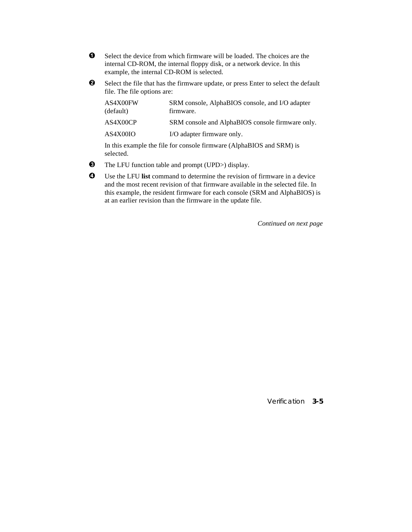- Ê Select the device from which firmware will be loaded. The choices are the internal CD-ROM, the internal floppy disk, or a network device. In this example, the internal CD-ROM is selected.
- $\odot$  Select the file that has the firmware update, or press Enter to select the default file. The file options are:

| AS4X00FW<br>(default) | SRM console, AlphaBIOS console, and I/O adapter<br>firmware. |
|-----------------------|--------------------------------------------------------------|
| AS4X00CP              | SRM console and AlphaBIOS console firmware only.             |
| AS4X00IO              | I/O adapter firmware only.                                   |
|                       |                                                              |

In this example the file for console firmware (AlphaBIOS and SRM) is selected.

- $\bullet$  The LFU function table and prompt (UPD>) display.
- $\bullet$  Use the LFU list command to determine the revision of firmware in a device and the most recent revision of that firmware available in the selected file. In this example, the resident firmware for each console (SRM and AlphaBIOS) is at an earlier revision than the firmware in the update file.

*Continued on next page*

Verification **3-5**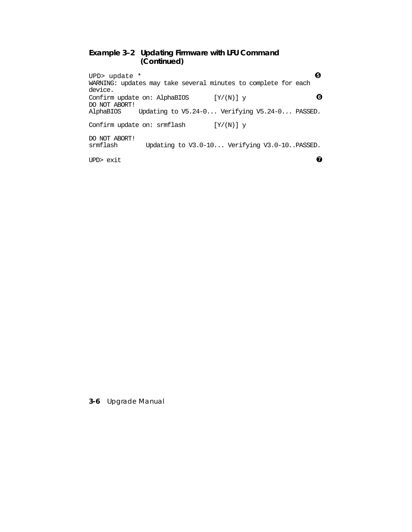#### **Example 3–2 Updating Firmware with LFU Command (Continued)**

UPD> update  $*$   $\qquad \qquad \bullet$ WARNING: updates may take several minutes to complete for each device. Confirm update on: AlphaBIOS  $[Y/(N)]$  y  $\qquad \qquad \bullet$ DO NOT ABORT! Updating to V5.24-0... Verifying V5.24-0... PASSED. Confirm update on: srmflash  $[Y/(N)]$  y DO NOT ABORT! Updating to V3.0-10... Verifying V3.0-10..PASSED. UPD> exit  $\bullet$ 

**3-6** Upgrade Manual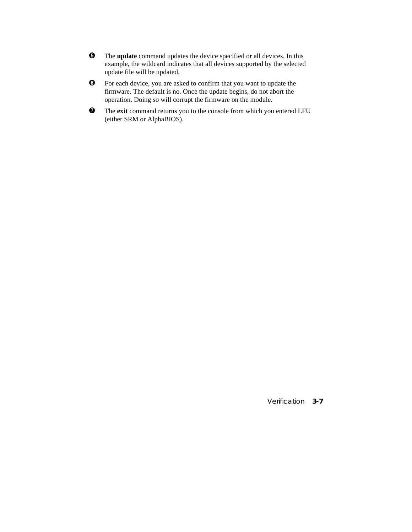- $\Theta$  The **update** command updates the device specified or all devices. In this example, the wildcard indicates that all devices supported by the selected update file will be updated.
- Ï For each device, you are asked to confirm that you want to update the firmware. The default is no. Once the update begins, do not abort the operation. Doing so will corrupt the firmware on the module.
- Ð The **exit** command returns you to the console from which you entered LFU (either SRM or AlphaBIOS).

Verification **3-7**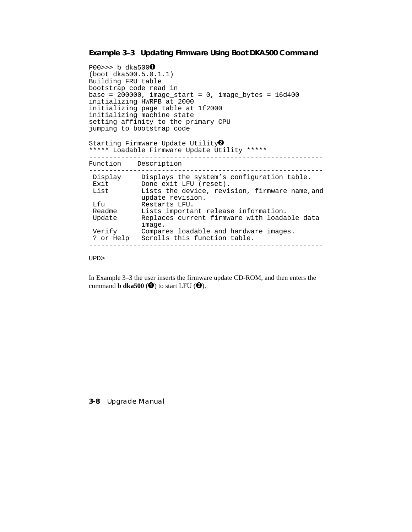#### **Example 3–3 Updating Firmware Using Boot DKA500 Command**

```
P00>>> b dka500\bullet(boot dka500.5.0.1.1)
Building FRU table
bootstrap code read in
base = 200000, image_start = 0, image_bytes = 16d400initializing HWRPB at 2000
initializing page table at 1f2000
initializing machine state
setting affinity to the primary CPU
jumping to bootstrap code
Starting Firmware Update Utility\bullet***** Loadable Firmware Update Utility *****
----------------------------------------------------------
Function Description
----------------------------------------------------------
 Display Displays the system's configuration table.
 Exit Done exit LFU (reset).
List Lists the device, revision, firmware name, and
 update revision.
 Lfu Restarts LFU.
Readme Lists important release information.
 Update Replaces current firmware with loadable data
 image.
 Verify Compares loadable and hardware images.
 ? or Help Scrolls this function table.
----------------------------------------------------------
```
UPD>

In Example 3–3 the user inserts the firmware update CD-ROM, and then enters the command **b** dka500 ( $\bullet$ ) to start LFU ( $\bullet$ ).

**3-8** Upgrade Manual